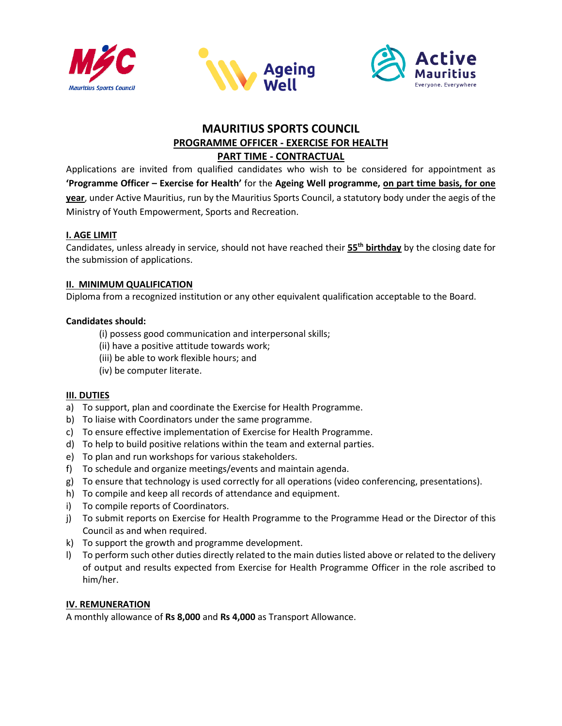





# **MAURITIUS SPORTS COUNCIL PROGRAMME OFFICER - EXERCISE FOR HEALTH PART TIME - CONTRACTUAL**

Applications are invited from qualified candidates who wish to be considered for appointment as **'Programme Officer – Exercise for Health'** for the **Ageing Well programme, on part time basis, for one year**, under Active Mauritius, run by the Mauritius Sports Council, a statutory body under the aegis of the Ministry of Youth Empowerment, Sports and Recreation.

# **I. AGE LIMIT**

Candidates, unless already in service, should not have reached their **55 th birthday** by the closing date for the submission of applications.

# **II. MINIMUM QUALIFICATION**

Diploma from a recognized institution or any other equivalent qualification acceptable to the Board.

# **Candidates should:**

- (i) possess good communication and interpersonal skills;
- (ii) have a positive attitude towards work;
- (iii) be able to work flexible hours; and
- (iv) be computer literate.

## **III. DUTIES**

- a) To support, plan and coordinate the Exercise for Health Programme.
- b) To liaise with Coordinators under the same programme.
- c) To ensure effective implementation of Exercise for Health Programme.
- d) To help to build positive relations within the team and external parties.
- e) To plan and run workshops for various stakeholders.
- f) To schedule and organize meetings/events and maintain agenda.
- g) To ensure that technology is used correctly for all operations (video conferencing, presentations).
- h) To compile and keep all records of attendance and equipment.
- i) To compile reports of Coordinators.
- j) To submit reports on Exercise for Health Programme to the Programme Head or the Director of this Council as and when required.
- k) To support the growth and programme development.
- l) To perform such other duties directly related to the main duties listed above or related to the delivery of output and results expected from Exercise for Health Programme Officer in the role ascribed to him/her.

## **IV. REMUNERATION**

A monthly allowance of **Rs 8,000** and **Rs 4,000** as Transport Allowance.